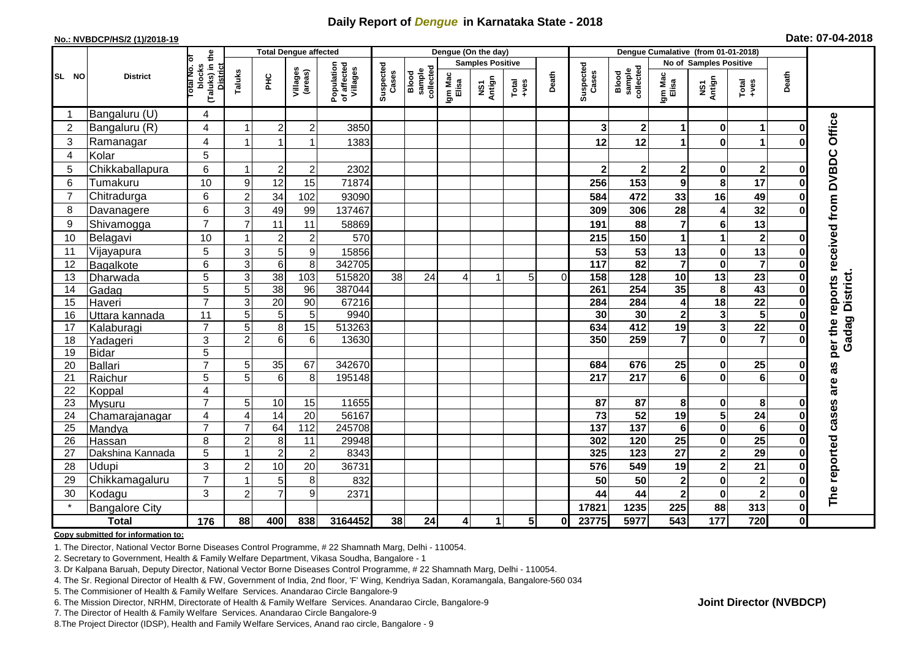## **Daily Report of** *Dengue* **in Karnataka State - 2018**

#### **No.: NVBDCP/HS/2 (1)/2018-19**

|  | Date: 07-04-2018 |  |
|--|------------------|--|
|--|------------------|--|

|                |                       |                                                   |                                  |                  |                       | <b>Total Dengue affected</b>          |                    |                              |                  |                         |                                                              | Dengue (On the day) |                       |                              | Dengue Cumalative (from 01-01-2018) |                                                    |                         |                      |                                     |  |  |
|----------------|-----------------------|---------------------------------------------------|----------------------------------|------------------|-----------------------|---------------------------------------|--------------------|------------------------------|------------------|-------------------------|--------------------------------------------------------------|---------------------|-----------------------|------------------------------|-------------------------------------|----------------------------------------------------|-------------------------|----------------------|-------------------------------------|--|--|
|                |                       | ō                                                 |                                  |                  |                       |                                       |                    |                              |                  | <b>Samples Positive</b> |                                                              |                     |                       |                              | No of Samples Positive              |                                                    |                         |                      |                                     |  |  |
| SL NO          | <b>District</b>       | (Taluks) in the<br>District<br>otal No.<br>blocks | Taluks                           | $rac{C}{\pi}$    | Villages<br>(areas)   | Population<br>of affected<br>Villages | Suspected<br>Cases | sample<br>collected<br>Blood | Igm Mac<br>Elisa | NS1<br>Antign           | $\begin{array}{c}\n\text{Total} \\ \text{+ves}\n\end{array}$ | Death               | Suspected<br>Cases    | Blood<br>sample<br>collected | Igm Mac<br>Elisa                    | NS1<br>Antign                                      | Total<br>+ves           | Death                |                                     |  |  |
| -1             | Bangaluru (U)         | 4                                                 |                                  |                  |                       |                                       |                    |                              |                  |                         |                                                              |                     |                       |                              |                                     |                                                    |                         |                      |                                     |  |  |
| $\overline{2}$ | Bangaluru (R)         | 4                                                 |                                  | $\overline{2}$   | $\overline{2}$        | 3850                                  |                    |                              |                  |                         |                                                              |                     | 3                     | 2 <sup>1</sup>               | 1                                   | $\bf{0}$                                           | 1                       | ŋ                    |                                     |  |  |
| 3              | Ramanagar             | 4                                                 | 1                                |                  | 1                     | 1383                                  |                    |                              |                  |                         |                                                              |                     | 12                    | 12                           | 1                                   | $\mathbf 0$                                        | 1                       | O                    | Office                              |  |  |
| 4              | Kolar                 | 5                                                 |                                  |                  |                       |                                       |                    |                              |                  |                         |                                                              |                     |                       |                              |                                     |                                                    |                         |                      |                                     |  |  |
| 5              | Chikkaballapura       | 6                                                 | -1                               | $\overline{2}$   | $\mathbf 2$           | 2302                                  |                    |                              |                  |                         |                                                              |                     | $\mathbf{2}$          | $\mathbf{2}$                 | $\mathbf 2$                         | $\mathbf 0$                                        | $\mathbf{2}$            | $\bf{0}$             |                                     |  |  |
| 6              | Tumakuru              | 10                                                | 9                                | 12               | 15                    | 71874                                 |                    |                              |                  |                         |                                                              |                     | 256                   | 153                          | 9                                   | 8                                                  | 17                      | O                    |                                     |  |  |
| $\overline{7}$ | Chitradurga           | 6                                                 | $\overline{2}$                   | 34               | 102                   | 93090                                 |                    |                              |                  |                         |                                                              |                     | 584                   | 472                          | 33                                  | 16                                                 | 49                      | 0                    |                                     |  |  |
| 8              | Davanagere            | 6                                                 | 3                                | 49               | 99                    | 137467                                |                    |                              |                  |                         |                                                              |                     | 309                   | 306                          | 28                                  | $\overline{\mathbf{4}}$                            | 32                      | ŋ                    |                                     |  |  |
| 9              | Shivamogga            | $\overline{7}$                                    | $\overline{7}$                   | 11               | 11                    | 58869                                 |                    |                              |                  |                         |                                                              |                     | 191                   | 88                           | 7                                   | $\bf 6$                                            | 13                      |                      | per the reports received from DVBDC |  |  |
| 10             | Belagavi              | 10                                                |                                  | $\boldsymbol{2}$ | $\overline{c}$        | 570                                   |                    |                              |                  |                         |                                                              |                     | 215                   | 150                          | 1                                   | $\overline{1}$                                     | $\boldsymbol{2}$        | O                    |                                     |  |  |
| 11             | Vijayapura            | 5                                                 | $\mathbf{3}$                     | 5                | 9                     | 15856                                 |                    |                              |                  |                         |                                                              |                     | 53                    | 53                           | 13                                  | $\bf{0}$                                           | 13                      | O                    |                                     |  |  |
| 12             | Bagalkote             | 6                                                 | $\overline{3}$                   | $\overline{6}$   | 8                     | 342705                                |                    |                              |                  |                         |                                                              |                     | $\frac{1}{117}$       | $\overline{82}$              | $\overline{\mathbf{7}}$             | $\overline{\mathbf{0}}$                            | $\overline{\mathbf{7}}$ | O                    |                                     |  |  |
| 13             | Dharwada              | 5                                                 | $\ensuremath{\mathsf{3}}$        | $\overline{38}$  | $\frac{103}{2}$       | 515820                                | 38                 | 24                           | 4                | 1                       | 5                                                            | $\Omega$            | 158                   | 128                          | 10                                  | $\overline{13}$                                    | $\overline{23}$         | O                    | <b>Gadag District.</b>              |  |  |
| 14             | Gadag                 | $\overline{5}$                                    | 5                                | $\overline{38}$  | 96                    | 387044                                |                    |                              |                  |                         |                                                              |                     | 261                   | 254                          | 35                                  | 8                                                  | 43                      | O                    |                                     |  |  |
| 15             | Haveri                | $\overline{7}$                                    | 3                                | 20               | 90                    | 67216                                 |                    |                              |                  |                         |                                                              |                     | 284                   | 284                          | 4                                   | $\overline{18}$                                    | $\overline{22}$         | $\bf{0}$             |                                     |  |  |
| 16             | Uttara kannada        | 11                                                | 5                                | 5                | $\sqrt{5}$            | 9940                                  |                    |                              |                  |                         |                                                              |                     | 30                    | 30                           | $\overline{\mathbf{2}}$             | $\mathbf{3}$                                       | $\overline{5}$          | $\bf{0}$             |                                     |  |  |
| 17             | Kalaburagi            | $\overline{7}$                                    | 5                                | 8                | 15                    | 513263                                |                    |                              |                  |                         |                                                              |                     | 634                   | 412                          | 19                                  | $\overline{\mathbf{3}}$                            | $\overline{22}$         | ŋ                    |                                     |  |  |
| 18             | Yadageri              | 3                                                 | $\overline{2}$                   | $\,6$            | 6                     | 13630                                 |                    |                              |                  |                         |                                                              |                     | 350                   | 259                          | $\overline{7}$                      | $\mathbf 0$                                        | $\overline{7}$          |                      |                                     |  |  |
| 19             | <b>Bidar</b>          | 5                                                 |                                  |                  |                       |                                       |                    |                              |                  |                         |                                                              |                     |                       |                              |                                     |                                                    |                         |                      |                                     |  |  |
| 20             | <b>Ballari</b>        | $\overline{7}$                                    | 5                                | 35               | 67                    | 342670                                |                    |                              |                  |                         |                                                              |                     | 684                   | 676                          | 25                                  | 0                                                  | 25                      | 0                    | as                                  |  |  |
| 21             | Raichur               | 5                                                 | 5                                | 6                | 8                     | 195148                                |                    |                              |                  |                         |                                                              |                     | $\overline{217}$      | $\overline{217}$             | $6\phantom{a}$                      | $\mathbf 0$                                        | $\overline{6}$          |                      | are                                 |  |  |
| 22             | Koppal                | $\overline{\mathbf{4}}$                           |                                  |                  |                       |                                       |                    |                              |                  |                         |                                                              |                     |                       |                              |                                     |                                                    |                         |                      |                                     |  |  |
| 23             | Mysuru                | $\overline{7}$                                    | 5                                | 10<br>14         | 15<br>$\overline{20}$ | 11655                                 |                    |                              |                  |                         |                                                              |                     | 87<br>$\overline{73}$ | 87<br>52                     | 8<br>19                             | 0                                                  | 8<br>$\overline{24}$    | 0                    |                                     |  |  |
| 24<br>25       | Chamarajanagar        | $\overline{4}$<br>$\overline{7}$                  | $\overline{4}$<br>$\overline{7}$ | 64               | $\frac{11}{2}$        | 56167<br>245708                       |                    |                              |                  |                         |                                                              |                     | 137                   | $\overline{137}$             | $6\phantom{1}$                      | $\overline{\mathbf{5}}$<br>$\overline{\mathbf{0}}$ | $6\phantom{1}6$         | $\bf{0}$<br>$\bf{0}$ |                                     |  |  |
| 26             | Mandya<br>Hassan      | 8                                                 | $\overline{c}$                   | 8                | 11                    | 29948                                 |                    |                              |                  |                         |                                                              |                     | 302                   | 120                          | 25                                  | $\pmb{0}$                                          | $\overline{25}$         | 0                    |                                     |  |  |
| 27             | Dakshina Kannada      | 5                                                 |                                  | $\overline{2}$   | $\overline{2}$        | 8343                                  |                    |                              |                  |                         |                                                              |                     | 325                   | $\frac{1}{23}$               | $\overline{27}$                     | $\mathbf{2}$                                       | 29                      | 0                    |                                     |  |  |
| 28             | Udupi                 | 3                                                 | $\overline{c}$                   | 10               | 20                    | 36731                                 |                    |                              |                  |                         |                                                              |                     | 576                   | 549                          | 19                                  | $\overline{\mathbf{2}}$                            | 21                      | O                    | The reported cases                  |  |  |
| 29             | Chikkamagaluru        | $\overline{7}$                                    |                                  | 5                | 8                     | 832                                   |                    |                              |                  |                         |                                                              |                     | 50                    | 50                           | $\overline{\mathbf{2}}$             | $\pmb{0}$                                          | $\overline{\mathbf{2}}$ | O                    |                                     |  |  |
| 30             | Kodagu                | 3                                                 | $\overline{2}$                   | $\overline{7}$   | 9                     | 2371                                  |                    |                              |                  |                         |                                                              |                     | 44                    | 44                           | $\mathbf{2}$                        | $\mathbf 0$                                        | $\overline{\mathbf{2}}$ | ŋ                    |                                     |  |  |
|                | <b>Bangalore City</b> |                                                   |                                  |                  |                       |                                       |                    |                              |                  |                         |                                                              |                     | 17821                 | 1235                         | 225                                 | 88                                                 | 313                     | 0                    |                                     |  |  |
|                | <b>Total</b>          | 176                                               | 88                               | 400              | 838                   | 3164452                               | 38                 | 24                           | 4                | 1                       | 5 <sup>1</sup>                                               | 0                   | 23775                 | 5977                         | 543                                 | $\frac{1}{177}$                                    | 720                     | $\mathbf{0}$         |                                     |  |  |

#### **Copy submitted for information to:**

1. The Director, National Vector Borne Diseases Control Programme, # 22 Shamnath Marg, Delhi - 110054.

2. Secretary to Government, Health & Family Welfare Department, Vikasa Soudha, Bangalore - 1

3. Dr Kalpana Baruah, Deputy Director, National Vector Borne Diseases Control Programme, # 22 Shamnath Marg, Delhi - 110054.

4. The Sr. Regional Director of Health & FW, Government of India, 2nd floor, 'F' Wing, Kendriya Sadan, Koramangala, Bangalore-560 034

5. The Commisioner of Health & Family Welfare Services. Anandarao Circle Bangalore-9

6. The Mission Director, NRHM, Directorate of Health & Family Welfare Services. Anandarao Circle, Bangalore-9

7. The Director of Health & Family Welfare Services. Anandarao Circle Bangalore-9

8.The Project Director (IDSP), Health and Family Welfare Services, Anand rao circle, Bangalore - 9